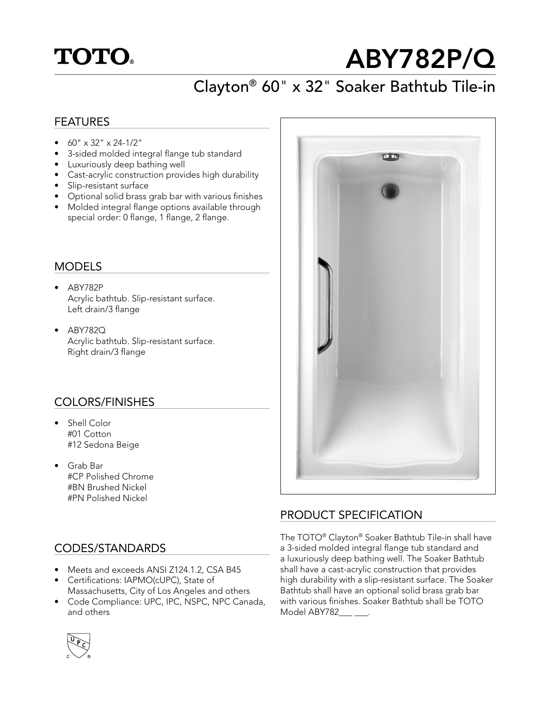# **TOTO.**

# ABY782P/Q

## Clayton® 60" x 32" Soaker Bathtub Tile-in

#### FEATURES

- $\bullet$  60" x 32" x 24-1/2"
- 3-sided molded integral flange tub standard
- Luxuriously deep bathing well
- Cast-acrylic construction provides high durability
- Slip-resistant surface
- Optional solid brass grab bar with various finishes
- Molded integral flange options available through special order: 0 flange, 1 flange, 2 flange.

#### MODELS

- ABY782P Acrylic bathtub. Slip-resistant surface. Left drain/3 flange
- ABY782Q Acrylic bathtub. Slip-resistant surface. Right drain/3 flange

#### COLORS/FINISHES

- Shell Color #01 Cotton #12 Sedona Beige
- Grab Bar #CP Polished Chrome #BN Brushed Nickel #PN Polished Nickel

#### CODES/STANDARDS

- Meets and exceeds ANSI Z124.1.2, CSA B45
- Certifications: IAPMO(cUPC), State of Massachusetts, City of Los Angeles and others
- Code Compliance: UPC, IPC, NSPC, NPC Canada, and others



#### PRODUCT SPECIFICATION

The TOTO® Clayton® Soaker Bathtub Tile-in shall have a 3-sided molded integral flange tub standard and a luxuriously deep bathing well. The Soaker Bathtub shall have a cast-acrylic construction that provides high durability with a slip-resistant surface. The Soaker Bathtub shall have an optional solid brass grab bar with various finishes. Soaker Bathtub shall be TOTO Model ABY782\_\_\_\_\_\_\_.